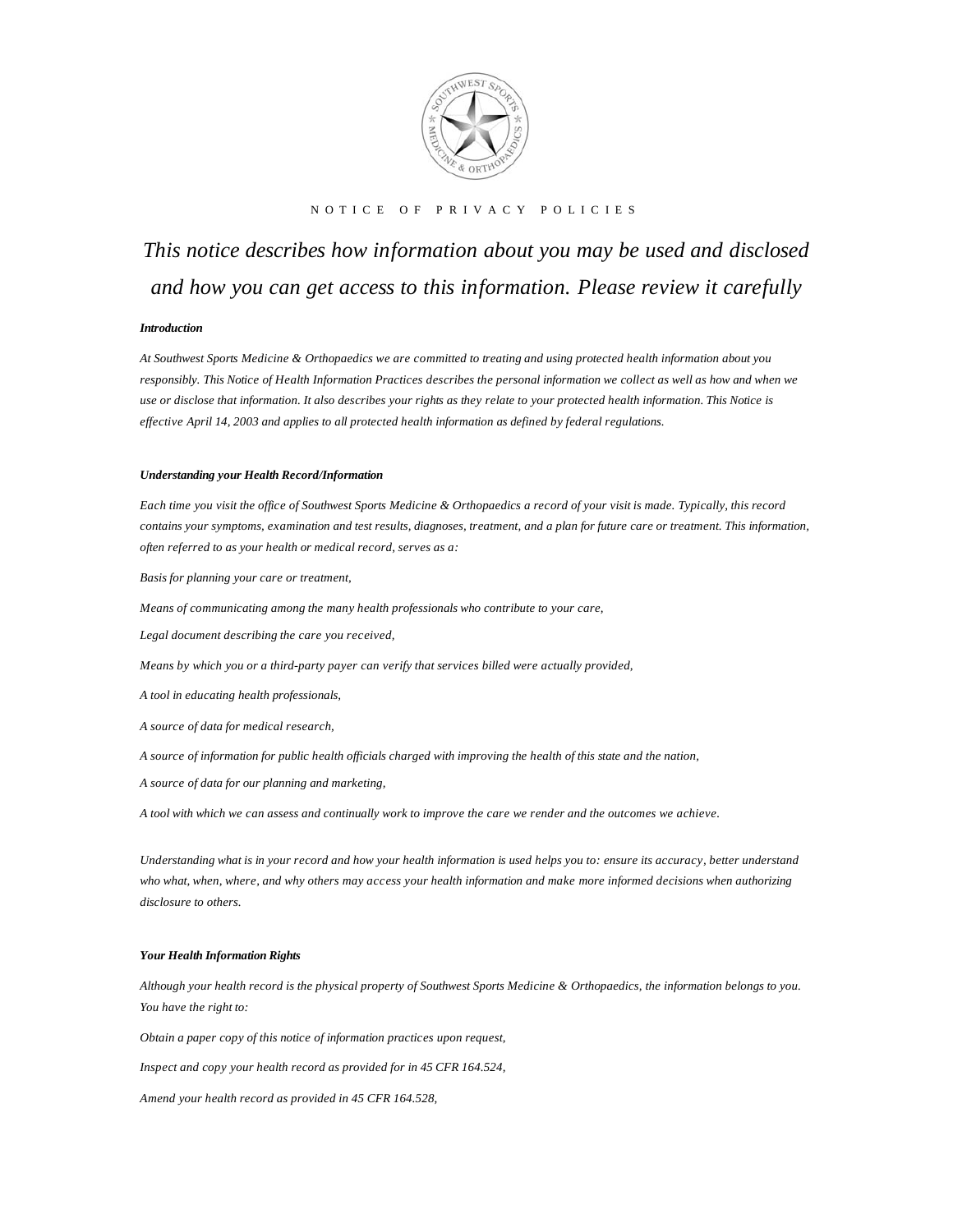

## NOTICE OF PRIVACY POLICIES

# *This notice describes how information about you may be used and disclosed and how you can get access to this information. Please review it carefully*

## *Introduction*

*At Southwest Sports Medicine & Orthopaedics we are committed to treating and using protected health information about you responsibly. This Notice of Health Information Practices describes the personal information we collect as well as how and when we use or disclose that information. It also describes your rights as they relate to your protected health information. This Notice is effective April 14, 2003 and applies to all protected health information as defined by federal regulations.* 

#### *Understanding your Health Record/Information*

*Each time you visit the office of Southwest Sports Medicine & Orthopaedics a record of your visit is made. Typically, this record contains your symptoms, examination and test results, diagnoses, treatment, and a plan for future care or treatment. This information, often referred to as your health or medical record, serves as a:* 

*Basis for planning your care or treatment,* 

*Means of communicating among the many health professionals who contribute to your care,* 

*Legal document describing the care you received,* 

*Means by which you or a third-party payer can verify that services billed were actually provided,* 

*A tool in educating health professionals,* 

*A source of data for medical research,* 

*A source of information for public health officials charged with improving the health of this state and the nation,* 

*A source of data for our planning and marketing,* 

*A tool with which we can assess and continually work to improve the care we render and the outcomes we achieve.* 

*Understanding what is in your record and how your health information is used helps you to: ensure its accuracy, better understand who what, when, where, and why others may access your health information and make more informed decisions when authorizing disclosure to others.* 

## *Your Health Information Rights*

*Although your health record is the physical property of Southwest Sports Medicine & Orthopaedics, the information belongs to you. You have the right to:* 

*Obtain a paper copy of this notice of information practices upon request,* 

*Inspect and copy your health record as provided for in 45 CFR 164.524,* 

*Amend your health record as provided in 45 CFR 164.528,*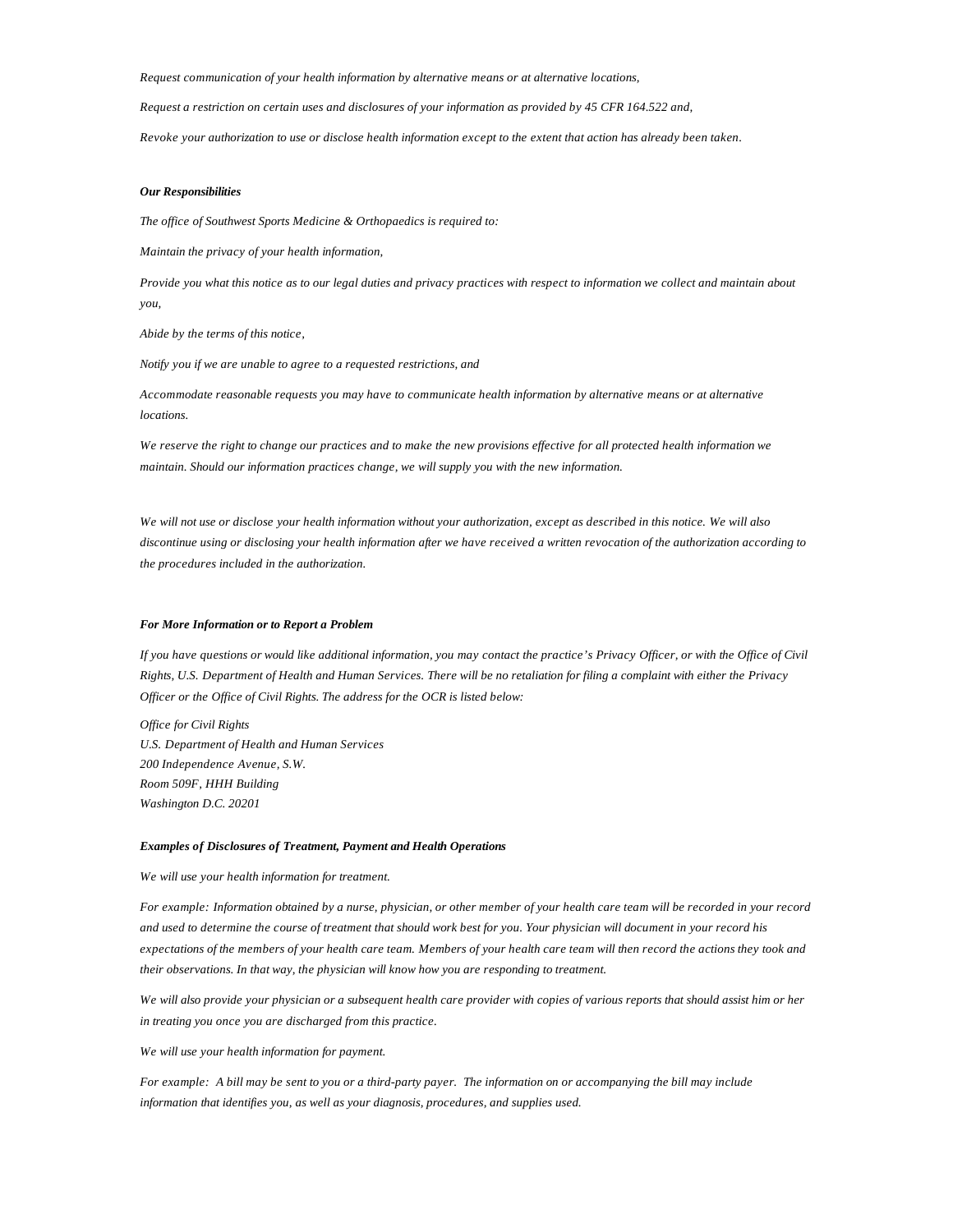*Request communication of your health information by alternative means or at alternative locations,* 

*Request a restriction on certain uses and disclosures of your information as provided by 45 CFR 164.522 and,* 

*Revoke your authorization to use or disclose health information except to the extent that action has already been taken.* 

#### *Our Responsibilities*

*The office of Southwest Sports Medicine & Orthopaedics is required to:* 

*Maintain the privacy of your health information,* 

*Provide you what this notice as to our legal duties and privacy practices with respect to information we collect and maintain about you,* 

*Abide by the terms of this notice,* 

*Notify you if we are unable to agree to a requested restrictions, and* 

*Accommodate reasonable requests you may have to communicate health information by alternative means or at alternative locations.* 

*We reserve the right to change our practices and to make the new provisions effective for all protected health information we maintain. Should our information practices change, we will supply you with the new information.* 

*We will not use or disclose your health information without your authorization, except as described in this notice. We will also discontinue using or disclosing your health information after we have received a written revocation of the authorization according to the procedures included in the authorization.* 

## *For More Information or to Report a Problem*

*If you have questions or would like additional information, you may contact the practice's Privacy Officer, or with the Office of Civil Rights, U.S. Department of Health and Human Services. There will be no retaliation for filing a complaint with either the Privacy Officer or the Office of Civil Rights. The address for the OCR is listed below:* 

*Office for Civil Rights U.S. Department of Health and Human Services 200 Independence Avenue, S.W. Room 509F, HHH Building Washington D.C. 20201* 

### *Examples of Disclosures of Treatment, Payment and Health Operations*

*We will use your health information for treatment.* 

*For example: Information obtained by a nurse, physician, or other member of your health care team will be recorded in your record and used to determine the course of treatment that should work best for you. Your physician will document in your record his expectations of the members of your health care team. Members of your health care team will then record the actions they took and their observations. In that way, the physician will know how you are responding to treatment.* 

*We will also provide your physician or a subsequent health care provider with copies of various reports that should assist him or her in treating you once you are discharged from this practice.* 

*We will use your health information for payment.* 

*For example: A bill may be sent to you or a third-party payer. The information on or accompanying the bill may include information that identifies you, as well as your diagnosis, procedures, and supplies used.*